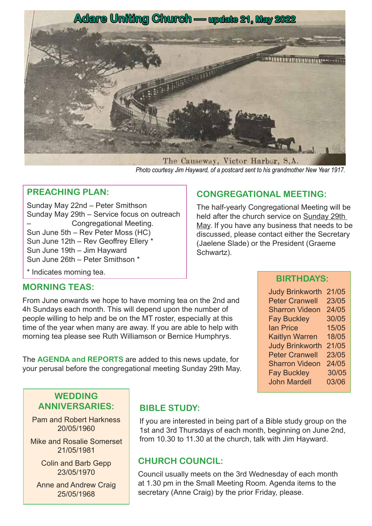

The Causeway, Victor Harbor, S,A. *Photo courtesy Jim Hayward, of a postcard sent to his grandmother New Year 1917.*

#### **PREACHING PLAN:**

Sunday May 22nd – Peter Smithson Sunday May 29th – Service focus on outreach – Congregational Meeting. Sun June 5th – Rev Peter Moss (HC) Sun June 12th – Rev Geoffrey Ellery \* Sun June 19th – Jim Hayward Sun June 26th – Peter Smithson \*

#### **CONGREGATIONAL MEETING:**

The half-yearly Congregational Meeting will be held after the church service on Sunday 29th May. If you have any business that needs to be discussed, please contact either the Secretary (Jaelene Slade) or the President (Graeme Schwartz).

\* Indicates morning tea. **BIRTHDAYS:** 

#### **MORNING TEAS:**

From June onwards we hope to have morning tea on the 2nd and 4h Sundays each month. This will depend upon the number of people willing to help and be on the MT roster, especially at this time of the year when many are away. If you are able to help with morning tea please see Ruth Williamson or Bernice Humphrys.

The **AGENDA and REPORTS** are added to this news update, for your perusal before the congregational meeting Sunday 29th May.

| <b>Judy Brinkworth</b> | 21/05 |
|------------------------|-------|
| <b>Peter Cranwell</b>  | 23/05 |
| <b>Sharron Videon</b>  | 24/05 |
| <b>Fay Buckley</b>     | 30/05 |
| <b>lan Price</b>       | 15/05 |
| <b>Kaitlyn Warren</b>  | 18/05 |
| <b>Judy Brinkworth</b> | 21/05 |
| <b>Peter Cranwell</b>  | 23/05 |
| <b>Sharron Videon</b>  | 24/05 |
| <b>Fay Buckley</b>     | 30/05 |
| <b>John Mardell</b>    | 03/06 |
|                        |       |

#### **WEDDING ANNIVERSARIES:**

Pam and Robert Harkness 20/05/1960

Mike and Rosalie Somerset 21/05/1981

> Colin and Barb Gepp 23/05/1970

Anne and Andrew Craig 25/05/1968

# **BIBLE STUDY:**

If you are interested in being part of a Bible study group on the 1st and 3rd Thursdays of each month, beginning on June 2nd, from 10.30 to 11.30 at the church, talk with Jim Hayward.

# **CHURCH COUNCIL:**

Council usually meets on the 3rd Wednesday of each month at 1.30 pm in the Small Meeting Room. Agenda items to the secretary (Anne Craig) by the prior Friday, please.